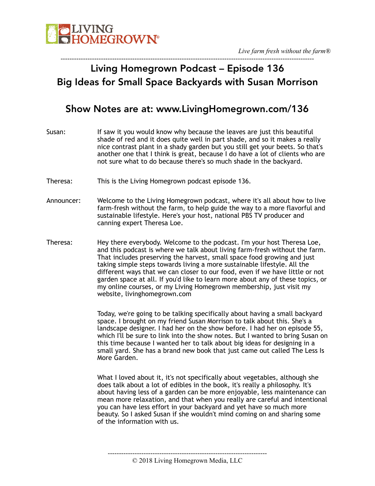

#### ----------------------------------------------------------------------------------------------------------------- Living Homegrown Podcast – Episode 136 Big Ideas for Small Space Backyards with Susan Morrison

#### Show Notes are at: www.LivingHomegrown.com/136

- Susan: If saw it you would know why because the leaves are just this beautiful shade of red and it does quite well in part shade, and so it makes a really nice contrast plant in a shady garden but you still get your beets. So that's another one that I think is great, because I do have a lot of clients who are not sure what to do because there's so much shade in the backyard.
- Theresa: This is the Living Homegrown podcast episode 136.
- Announcer: Welcome to the Living Homegrown podcast, where it's all about how to live farm-fresh without the farm, to help guide the way to a more flavorful and sustainable lifestyle. Here's your host, national PBS TV producer and canning expert Theresa Loe.
- Theresa: Hey there everybody. Welcome to the podcast. I'm your host Theresa Loe, and this podcast is where we talk about living farm-fresh without the farm. That includes preserving the harvest, small space food growing and just taking simple steps towards living a more sustainable lifestyle. All the different ways that we can closer to our food, even if we have little or not garden space at all. If you'd like to learn more about any of these topics, or my online courses, or my Living Homegrown membership, just visit my website, livinghomegrown.com

Today, we're going to be talking specifically about having a small backyard space. I brought on my friend Susan Morrison to talk about this. She's a landscape designer. I had her on the show before. I had her on episode 55, which I'll be sure to link into the show notes. But I wanted to bring Susan on this time because I wanted her to talk about big ideas for designing in a small yard. She has a brand new book that just came out called The Less Is More Garden.

What I loved about it, it's not specifically about vegetables, although she does talk about a lot of edibles in the book, it's really a philosophy. It's about having less of a garden can be more enjoyable, less maintenance can mean more relaxation, and that when you really are careful and intentional you can have less effort in your backyard and yet have so much more beauty. So I asked Susan if she wouldn't mind coming on and sharing some of the information with us.

<sup>-----------------------------------------------------------------------</sup>  © 2018 Living Homegrown Media, LLC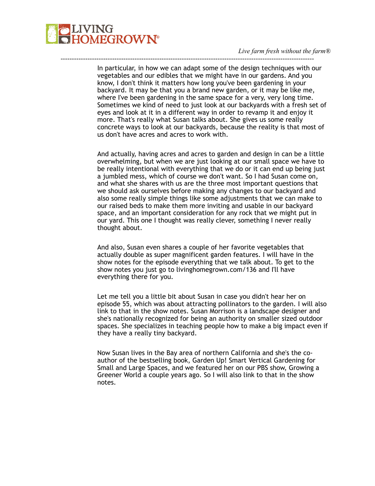

In particular, in how we can adapt some of the design techniques with our vegetables and our edibles that we might have in our gardens. And you know, I don't think it matters how long you've been gardening in your backyard. It may be that you a brand new garden, or it may be like me, where I've been gardening in the same space for a very, very long time. Sometimes we kind of need to just look at our backyards with a fresh set of eyes and look at it in a different way in order to revamp it and enjoy it more. That's really what Susan talks about. She gives us some really concrete ways to look at our backyards, because the reality is that most of us don't have acres and acres to work with.

-----------------------------------------------------------------------------------------------------------------

And actually, having acres and acres to garden and design in can be a little overwhelming, but when we are just looking at our small space we have to be really intentional with everything that we do or it can end up being just a jumbled mess, which of course we don't want. So I had Susan come on, and what she shares with us are the three most important questions that we should ask ourselves before making any changes to our backyard and also some really simple things like some adjustments that we can make to our raised beds to make them more inviting and usable in our backyard space, and an important consideration for any rock that we might put in our yard. This one I thought was really clever, something I never really thought about.

And also, Susan even shares a couple of her favorite vegetables that actually double as super magnificent garden features. I will have in the show notes for the episode everything that we talk about. To get to the show notes you just go to livinghomegrown.com/136 and I'll have everything there for you.

Let me tell you a little bit about Susan in case you didn't hear her on episode 55, which was about attracting pollinators to the garden. I will also link to that in the show notes. Susan Morrison is a landscape designer and she's nationally recognized for being an authority on smaller sized outdoor spaces. She specializes in teaching people how to make a big impact even if they have a really tiny backyard.

Now Susan lives in the Bay area of northern California and she's the coauthor of the bestselling book, Garden Up! Smart Vertical Gardening for Small and Large Spaces, and we featured her on our PBS show, Growing a Greener World a couple years ago. So I will also link to that in the show notes.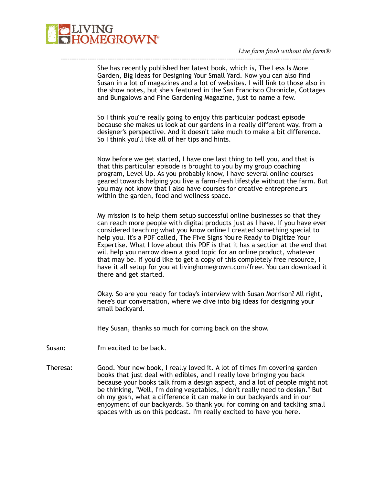

She has recently published her latest book, which is, The Less Is More Garden, Big Ideas for Designing Your Small Yard. Now you can also find Susan in a lot of magazines and a lot of websites. I will link to those also in the show notes, but she's featured in the San Francisco Chronicle, Cottages and Bungalows and Fine Gardening Magazine, just to name a few.

-----------------------------------------------------------------------------------------------------------------

So I think you're really going to enjoy this particular podcast episode because she makes us look at our gardens in a really different way, from a designer's perspective. And it doesn't take much to make a bit difference. So I think you'll like all of her tips and hints.

Now before we get started, I have one last thing to tell you, and that is that this particular episode is brought to you by my group coaching program, Level Up. As you probably know, I have several online courses geared towards helping you live a farm-fresh lifestyle without the farm. But you may not know that I also have courses for creative entrepreneurs within the garden, food and wellness space.

My mission is to help them setup successful online businesses so that they can reach more people with digital products just as I have. If you have ever considered teaching what you know online I created something special to help you. It's a PDF called, The Five Signs You're Ready to Digitize Your Expertise. What I love about this PDF is that it has a section at the end that will help you narrow down a good topic for an online product, whatever that may be. If you'd like to get a copy of this completely free resource, I have it all setup for you at livinghomegrown.com/free. You can download it there and get started.

Okay. So are you ready for today's interview with Susan Morrison? All right, here's our conversation, where we dive into big ideas for designing your small backyard.

Hey Susan, thanks so much for coming back on the show.

Susan: I'm excited to be back.

Theresa: Good. Your new book, I really loved it. A lot of times I'm covering garden books that just deal with edibles, and I really love bringing you back because your books talk from a design aspect, and a lot of people might not be thinking, "Well, I'm doing vegetables, I don't really need to design." But oh my gosh, what a difference it can make in our backyards and in our enjoyment of our backyards. So thank you for coming on and tackling small spaces with us on this podcast. I'm really excited to have you here.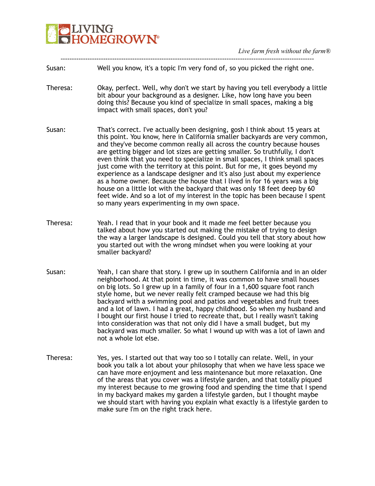

| Susan:   | Well you know, it's a topic I'm very fond of, so you picked the right one.                                                                                                                                                                                                                                                                                                                                                                                                                                                                                                                                                                                                                                                                                                                                                                               |
|----------|----------------------------------------------------------------------------------------------------------------------------------------------------------------------------------------------------------------------------------------------------------------------------------------------------------------------------------------------------------------------------------------------------------------------------------------------------------------------------------------------------------------------------------------------------------------------------------------------------------------------------------------------------------------------------------------------------------------------------------------------------------------------------------------------------------------------------------------------------------|
| Theresa: | Okay, perfect. Well, why don't we start by having you tell everybody a little<br>bit abour your background as a designer. Like, how long have you been<br>doing this? Because you kind of specialize in small spaces, making a big<br>impact with small spaces, don't you?                                                                                                                                                                                                                                                                                                                                                                                                                                                                                                                                                                               |
| Susan:   | That's correct. I've actually been designing, gosh I think about 15 years at<br>this point. You know, here in California smaller backyards are very common,<br>and they've become common really all across the country because houses<br>are getting bigger and lot sizes are getting smaller. So truthfully, I don't<br>even think that you need to specialize in small spaces, I think small spaces<br>just come with the territory at this point. But for me, it goes beyond my<br>experience as a landscape designer and it's also just about my experience<br>as a home owner. Because the house that I lived in for 16 years was a big<br>house on a little lot with the backyard that was only 18 feet deep by 60<br>feet wide. And so a lot of my interest in the topic has been because I spent<br>so many years experimenting in my own space. |
| Theresa: | Yeah. I read that in your book and it made me feel better because you<br>talked about how you started out making the mistake of trying to design<br>the way a larger landscape is designed. Could you tell that story about how<br>you started out with the wrong mindset when you were looking at your<br>smaller backyard?                                                                                                                                                                                                                                                                                                                                                                                                                                                                                                                             |
| Susan:   | Yeah, I can share that story. I grew up in southern California and in an older<br>neighborhood. At that point in time, it was common to have small houses<br>on big lots. So I grew up in a family of four in a 1,600 square foot ranch<br>style home, but we never really felt cramped because we had this big<br>backyard with a swimming pool and patios and vegetables and fruit trees<br>and a lot of lawn. I had a great, happy childhood. So when my husband and<br>I bought our first house I tried to recreate that, but I really wasn't taking<br>into consideration was that not only did I have a small budget, but my<br>backyard was much smaller. So what I wound up with was a lot of lawn and<br>not a whole lot else.                                                                                                                  |
| Theresa: | Yes, yes. I started out that way too so I totally can relate. Well, in your<br>book you talk a lot about your philosophy that when we have less space we<br>can have more enjoyment and less maintenance but more relaxation. One<br>of the areas that you cover was a lifestyle garden, and that totally piqued<br>my interest because to me growing food and spending the time that I spend<br>in my backyard makes my garden a lifestyle garden, but I thought maybe<br>we should start with having you explain what exactly is a lifestyle garden to<br>make sure I'm on the right track here.                                                                                                                                                                                                                                                       |

-----------------------------------------------------------------------------------------------------------------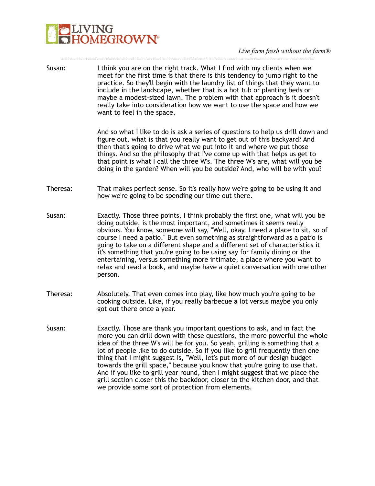# **PLIVING**<br>**CHOMEGROWN V**

*Live farm fresh without the farm®* 

| Susan:   | I think you are on the right track. What I find with my clients when we<br>meet for the first time is that there is this tendency to jump right to the<br>practice. So they'll begin with the laundry list of things that they want to<br>include in the landscape, whether that is a hot tub or planting beds or<br>maybe a modest-sized lawn. The problem with that approach is it doesn't<br>really take into consideration how we want to use the space and how we<br>want to feel in the space.                                                                                                                                                                                                 |
|----------|------------------------------------------------------------------------------------------------------------------------------------------------------------------------------------------------------------------------------------------------------------------------------------------------------------------------------------------------------------------------------------------------------------------------------------------------------------------------------------------------------------------------------------------------------------------------------------------------------------------------------------------------------------------------------------------------------|
|          | And so what I like to do is ask a series of questions to help us drill down and<br>figure out, what is that you really want to get out of this backyard? And<br>then that's going to drive what we put into it and where we put those<br>things. And so the philosophy that I've come up with that helps us get to<br>that point is what I call the three W's. The three W's are, what will you be<br>doing in the garden? When will you be outside? And, who will be with you?                                                                                                                                                                                                                      |
| Theresa: | That makes perfect sense. So it's really how we're going to be using it and<br>how we're going to be spending our time out there.                                                                                                                                                                                                                                                                                                                                                                                                                                                                                                                                                                    |
| Susan:   | Exactly. Those three points, I think probably the first one, what will you be<br>doing outside, is the most important, and sometimes it seems really<br>obvious. You know, someone will say, "Well, okay. I need a place to sit, so of<br>course I need a patio." But even something as straightforward as a patio is<br>going to take on a different shape and a different set of characteristics it<br>it's something that you're going to be using say for family dining or the<br>entertaining, versus something more intimate, a place where you want to<br>relax and read a book, and maybe have a quiet conversation with one other<br>person.                                                |
| Theresa: | Absolutely. That even comes into play, like how much you're going to be<br>cooking outside. Like, if you really barbecue a lot versus maybe you only<br>got out there once a year.                                                                                                                                                                                                                                                                                                                                                                                                                                                                                                                   |
| Susan:   | Exactly. Those are thank you important questions to ask, and in fact the<br>more you can drill down with these questions, the more powerful the whole<br>idea of the three W's will be for you. So yeah, grilling is something that a<br>lot of people like to do outside. So if you like to grill frequently then one<br>thing that I might suggest is, "Well, let's put more of our design budget<br>towards the grill space," because you know that you're going to use that.<br>And if you like to grill year round, then I might suggest that we place the<br>grill section closer this the backdoor, closer to the kitchen door, and that<br>we provide some sort of protection from elements. |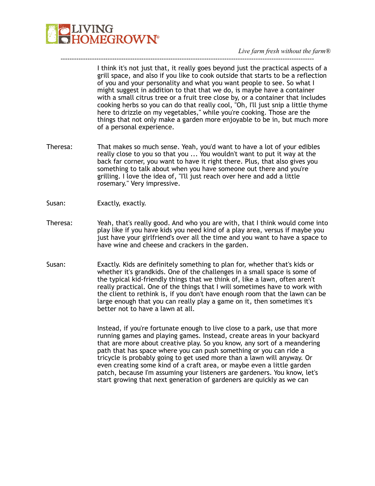

I think it's not just that, it really goes beyond just the practical aspects of a grill space, and also if you like to cook outside that starts to be a reflection of you and your personality and what you want people to see. So what I might suggest in addition to that that we do, is maybe have a container with a small citrus tree or a fruit tree close by, or a container that includes cooking herbs so you can do that really cool, "Oh, I'll just snip a little thyme here to drizzle on my vegetables," while you're cooking. Those are the things that not only make a garden more enjoyable to be in, but much more of a personal experience.

Theresa: That makes so much sense. Yeah, you'd want to have a lot of your edibles really close to you so that you ... You wouldn't want to put it way at the back far corner, you want to have it right there. Plus, that also gives you something to talk about when you have someone out there and you're grilling. I love the idea of, "I'll just reach over here and add a little rosemary." Very impressive.

-----------------------------------------------------------------------------------------------------------------

- Susan: Exactly, exactly.
- Theresa: Yeah, that's really good. And who you are with, that I think would come into play like if you have kids you need kind of a play area, versus if maybe you just have your girlfriend's over all the time and you want to have a space to have wine and cheese and crackers in the garden.
- Susan: Exactly. Kids are definitely something to plan for, whether that's kids or whether it's grandkids. One of the challenges in a small space is some of the typical kid-friendly things that we think of, like a lawn, often aren't really practical. One of the things that I will sometimes have to work with the client to rethink is, if you don't have enough room that the lawn can be large enough that you can really play a game on it, then sometimes it's better not to have a lawn at all.

Instead, if you're fortunate enough to live close to a park, use that more running games and playing games. Instead, create areas in your backyard that are more about creative play. So you know, any sort of a meandering path that has space where you can push something or you can ride a tricycle is probably going to get used more than a lawn will anyway. Or even creating some kind of a craft area, or maybe even a little garden patch, because I'm assuming your listeners are gardeners. You know, let's start growing that next generation of gardeners are quickly as we can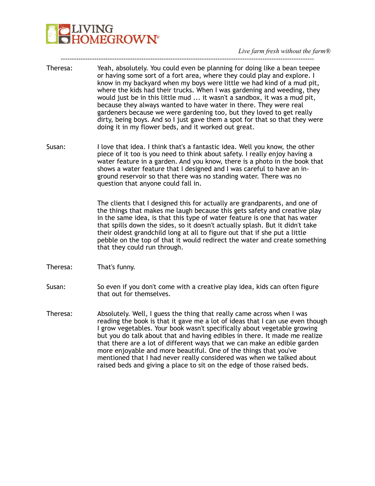*Live farm fresh without the farm®* 

Theresa: Yeah, absolutely. You could even be planning for doing like a bean teepee or having some sort of a fort area, where they could play and explore. I know in my backyard when my boys were little we had kind of a mud pit, where the kids had their trucks. When I was gardening and weeding, they would just be in this little mud ... it wasn't a sandbox, it was a mud pit, because they always wanted to have water in there. They were real gardeners because we were gardening too, but they loved to get really dirty, being boys. And so I just gave them a spot for that so that they were doing it in my flower beds, and it worked out great.

-----------------------------------------------------------------------------------------------------------------

Susan: I love that idea. I think that's a fantastic idea. Well you know, the other piece of it too is you need to think about safety. I really enjoy having a water feature in a garden. And you know, there is a photo in the book that shows a water feature that I designed and I was careful to have an inground reservoir so that there was no standing water. There was no question that anyone could fall in.

> The clients that I designed this for actually are grandparents, and one of the things that makes me laugh because this gets safety and creative play in the same idea, is that this type of water feature is one that has water that spills down the sides, so it doesn't actually splash. But it didn't take their oldest grandchild long at all to figure out that if she put a little pebble on the top of that it would redirect the water and create something that they could run through.

- Theresa: That's funny.
- Susan: So even if you don't come with a creative play idea, kids can often figure that out for themselves.
- Theresa: Absolutely. Well, I guess the thing that really came across when I was reading the book is that it gave me a lot of ideas that I can use even though I grow vegetables. Your book wasn't specifically about vegetable growing but you do talk about that and having edibles in there. It made me realize that there are a lot of different ways that we can make an edible garden more enjoyable and more beautiful. One of the things that you've mentioned that I had never really considered was when we talked about raised beds and giving a place to sit on the edge of those raised beds.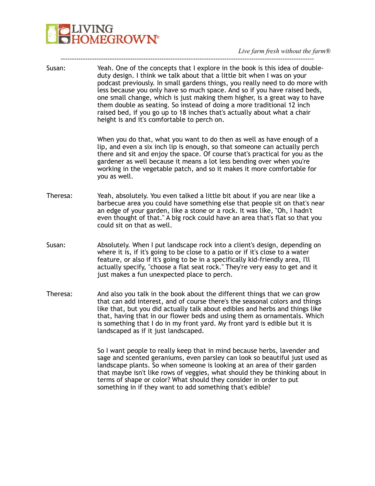- ----------------------------------------------------------------------------------------------------------------- Susan: Yeah. One of the concepts that I explore in the book is this idea of doubleduty design. I think we talk about that a little bit when I was on your podcast previously. In small gardens things, you really need to do more with less because you only have so much space. And so if you have raised beds, one small change, which is just making them higher, is a great way to have them double as seating. So instead of doing a more traditional 12 inch raised bed, if you go up to 18 inches that's actually about what a chair height is and it's comfortable to perch on. When you do that, what you want to do then as well as have enough of a lip, and even a six inch lip is enough, so that someone can actually perch there and sit and enjoy the space. Of course that's practical for you as the gardener as well because it means a lot less bending over when you're working in the vegetable patch, and so it makes it more comfortable for you as well. Theresa: Yeah, absolutely. You even talked a little bit about if you are near like a barbecue area you could have something else that people sit on that's near an edge of your garden, like a stone or a rock. It was like, "Oh, I hadn't even thought of that." A big rock could have an area that's flat so that you could sit on that as well.
- Susan: Absolutely. When I put landscape rock into a client's design, depending on where it is, if it's going to be close to a patio or if it's close to a water feature, or also if it's going to be in a specifically kid-friendly area, I'll actually specify, "choose a flat seat rock." They're very easy to get and it just makes a fun unexpected place to perch.
- Theresa: And also you talk in the book about the different things that we can grow that can add interest, and of course there's the seasonal colors and things like that, but you did actually talk about edibles and herbs and things like that, having that in our flower beds and using them as ornamentals. Which is something that I do in my front yard. My front yard is edible but it is landscaped as if it just landscaped.

So I want people to really keep that in mind because herbs, lavender and sage and scented geraniums, even parsley can look so beautiful just used as landscape plants. So when someone is looking at an area of their garden that maybe isn't like rows of veggies, what should they be thinking about in terms of shape or color? What should they consider in order to put something in if they want to add something that's edible?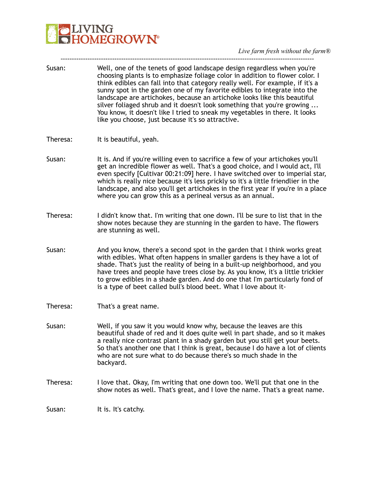

Susan: Well, one of the tenets of good landscape design regardless when you're choosing plants is to emphasize foliage color in addition to flower color. I think edibles can fall into that category really well. For example, if it's a sunny spot in the garden one of my favorite edibles to integrate into the landscape are artichokes, because an artichoke looks like this beautiful silver foliaged shrub and it doesn't look something that you're growing ... You know, it doesn't like I tried to sneak my vegetables in there. It looks like you choose, just because it's so attractive.

-----------------------------------------------------------------------------------------------------------------

- Theresa: It is beautiful, yeah.
- Susan: It is. And if you're willing even to sacrifice a few of your artichokes you'll get an incredible flower as well. That's a good choice, and I would act, I'll even specify [Cultivar 00:21:09] here. I have switched over to imperial star, which is really nice because it's less prickly so it's a little friendlier in the landscape, and also you'll get artichokes in the first year if you're in a place where you can grow this as a perineal versus as an annual.
- Theresa: I didn't know that. I'm writing that one down. I'll be sure to list that in the show notes because they are stunning in the garden to have. The flowers are stunning as well.
- Susan: And you know, there's a second spot in the garden that I think works great with edibles. What often happens in smaller gardens is they have a lot of shade. That's just the reality of being in a built-up neighborhood, and you have trees and people have trees close by. As you know, it's a little trickier to grow edibles in a shade garden. And do one that I'm particularly fond of is a type of beet called bull's blood beet. What I love about it-
- Theresa: That's a great name.
- Susan: Well, if you saw it you would know why, because the leaves are this beautiful shade of red and it does quite well in part shade, and so it makes a really nice contrast plant in a shady garden but you still get your beets. So that's another one that I think is great, because I do have a lot of clients who are not sure what to do because there's so much shade in the backyard.
- Theresa: I love that. Okay, I'm writing that one down too. We'll put that one in the show notes as well. That's great, and I love the name. That's a great name.

Susan: It is. It's catchy.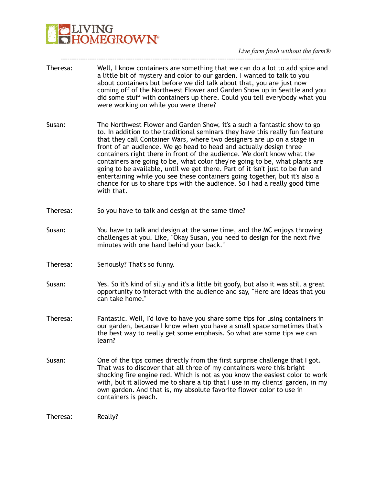

| Theresa: | Well, I know containers are something that we can do a lot to add spice and<br>a little bit of mystery and color to our garden. I wanted to talk to you<br>about containers but before we did talk about that, you are just now<br>coming off of the Northwest Flower and Garden Show up in Seattle and you<br>did some stuff with containers up there. Could you tell everybody what you<br>were working on while you were there?                                                                                                                                                                                                                                                                                                |
|----------|-----------------------------------------------------------------------------------------------------------------------------------------------------------------------------------------------------------------------------------------------------------------------------------------------------------------------------------------------------------------------------------------------------------------------------------------------------------------------------------------------------------------------------------------------------------------------------------------------------------------------------------------------------------------------------------------------------------------------------------|
| Susan:   | The Northwest Flower and Garden Show, it's a such a fantastic show to go<br>to. In addition to the traditional seminars they have this really fun feature<br>that they call Container Wars, where two designers are up on a stage in<br>front of an audience. We go head to head and actually design three<br>containers right there in front of the audience. We don't know what the<br>containers are going to be, what color they're going to be, what plants are<br>going to be available, until we get there. Part of it isn't just to be fun and<br>entertaining while you see these containers going together, but it's also a<br>chance for us to share tips with the audience. So I had a really good time<br>with that. |
| Theresa: | So you have to talk and design at the same time?                                                                                                                                                                                                                                                                                                                                                                                                                                                                                                                                                                                                                                                                                  |
| Susan:   | You have to talk and design at the same time, and the MC enjoys throwing<br>challenges at you. Like, "Okay Susan, you need to design for the next five<br>minutes with one hand behind your back."                                                                                                                                                                                                                                                                                                                                                                                                                                                                                                                                |
| Theresa: | Seriously? That's so funny.                                                                                                                                                                                                                                                                                                                                                                                                                                                                                                                                                                                                                                                                                                       |
| Susan:   | Yes. So it's kind of silly and it's a little bit goofy, but also it was still a great<br>opportunity to interact with the audience and say, "Here are ideas that you<br>can take home."                                                                                                                                                                                                                                                                                                                                                                                                                                                                                                                                           |
| Theresa: | Fantastic. Well, I'd love to have you share some tips for using containers in<br>our garden, because I know when you have a small space sometimes that's<br>the best way to really get some emphasis. So what are some tips we can<br>learn?                                                                                                                                                                                                                                                                                                                                                                                                                                                                                      |
| Susan:   | One of the tips comes directly from the first surprise challenge that I got.<br>That was to discover that all three of my containers were this bright<br>shocking fire engine red. Which is not as you know the easiest color to work<br>with, but it allowed me to share a tip that I use in my clients' garden, in my<br>own garden. And that is, my absolute favorite flower color to use in<br>containers is peach.                                                                                                                                                                                                                                                                                                           |
| Theresa: | Really?                                                                                                                                                                                                                                                                                                                                                                                                                                                                                                                                                                                                                                                                                                                           |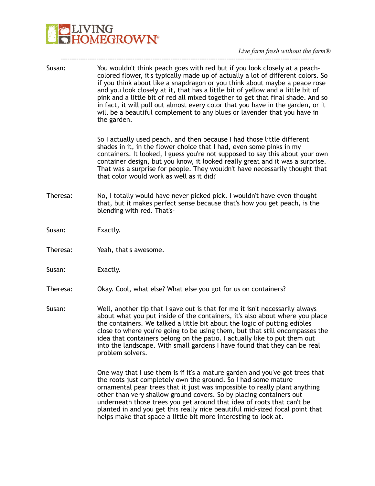# **PLIVING**<br>**CHOMEGROWN V**

*Live farm fresh without the farm®* 

| Susan:   | You wouldn't think peach goes with red but if you look closely at a peach-<br>colored flower, it's typically made up of actually a lot of different colors. So<br>if you think about like a snapdragon or you think about maybe a peace rose<br>and you look closely at it, that has a little bit of yellow and a little bit of<br>pink and a little bit of red all mixed together to get that final shade. And so<br>in fact, it will pull out almost every color that you have in the garden, or it<br>will be a beautiful complement to any blues or lavender that you have in<br>the garden. |
|----------|--------------------------------------------------------------------------------------------------------------------------------------------------------------------------------------------------------------------------------------------------------------------------------------------------------------------------------------------------------------------------------------------------------------------------------------------------------------------------------------------------------------------------------------------------------------------------------------------------|
|          | So I actually used peach, and then because I had those little different<br>shades in it, in the flower choice that I had, even some pinks in my<br>containers. It looked, I guess you're not supposed to say this about your own<br>container design, but you know, it looked really great and it was a surprise.<br>That was a surprise for people. They wouldn't have necessarily thought that<br>that color would work as well as it did?                                                                                                                                                     |
| Theresa: | No, I totally would have never picked pick. I wouldn't have even thought<br>that, but it makes perfect sense because that's how you get peach, is the<br>blending with red. That's-                                                                                                                                                                                                                                                                                                                                                                                                              |
| Susan:   | Exactly.                                                                                                                                                                                                                                                                                                                                                                                                                                                                                                                                                                                         |
| Theresa: | Yeah, that's awesome.                                                                                                                                                                                                                                                                                                                                                                                                                                                                                                                                                                            |
| Susan:   | Exactly.                                                                                                                                                                                                                                                                                                                                                                                                                                                                                                                                                                                         |
| Theresa: | Okay. Cool, what else? What else you got for us on containers?                                                                                                                                                                                                                                                                                                                                                                                                                                                                                                                                   |
| Susan:   | Well, another tip that I gave out is that for me it isn't necessarily always<br>about what you put inside of the containers, it's also about where you place<br>the containers. We talked a little bit about the logic of putting edibles<br>close to where you're going to be using them, but that still encompasses the<br>idea that containers belong on the patio. I actually like to put them out<br>into the landscape. With small gardens I have found that they can be real<br>problem solvers.                                                                                          |
|          | One way that I use them is if it's a mature garden and you've got trees that<br>the roots just completely own the ground. So I had some mature<br>ornamental pear trees that it just was impossible to really plant anything<br>other than very shallow ground covers. So by placing containers out<br>underneath those trees you get around that idea of roots that can't be<br>planted in and you get this really nice beautiful mid-sized focal point that<br>helps make that space a little bit more interesting to look at.                                                                 |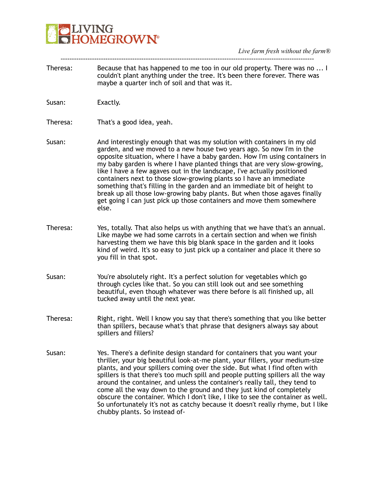*Live farm fresh without the farm®* 

Theresa: Because that has happened to me too in our old property. There was no ... I couldn't plant anything under the tree. It's been there forever. There was maybe a quarter inch of soil and that was it.

-----------------------------------------------------------------------------------------------------------------

- Susan: Exactly.
- Theresa: That's a good idea, yeah.
- Susan: And interestingly enough that was my solution with containers in my old garden, and we moved to a new house two years ago. So now I'm in the opposite situation, where I have a baby garden. How I'm using containers in my baby garden is where I have planted things that are very slow-growing, like I have a few agaves out in the landscape, I've actually positioned containers next to those slow-growing plants so I have an immediate something that's filling in the garden and an immediate bit of height to break up all those low-growing baby plants. But when those agaves finally get going I can just pick up those containers and move them somewhere else.
- Theresa: Yes, totally. That also helps us with anything that we have that's an annual. Like maybe we had some carrots in a certain section and when we finish harvesting them we have this big blank space in the garden and it looks kind of weird. It's so easy to just pick up a container and place it there so you fill in that spot.
- Susan: You're absolutely right. It's a perfect solution for vegetables which go through cycles like that. So you can still look out and see something beautiful, even though whatever was there before is all finished up, all tucked away until the next year.
- Theresa: Right, right. Well I know you say that there's something that you like better than spillers, because what's that phrase that designers always say about spillers and fillers?
- Susan: Yes. There's a definite design standard for containers that you want your thriller, your big beautiful look-at-me plant, your fillers, your medium-size plants, and your spillers coming over the side. But what I find often with spillers is that there's too much spill and people putting spillers all the way around the container, and unless the container's really tall, they tend to come all the way down to the ground and they just kind of completely obscure the container. Which I don't like, I like to see the container as well. So unfortunately it's not as catchy because it doesn't really rhyme, but I like chubby plants. So instead of-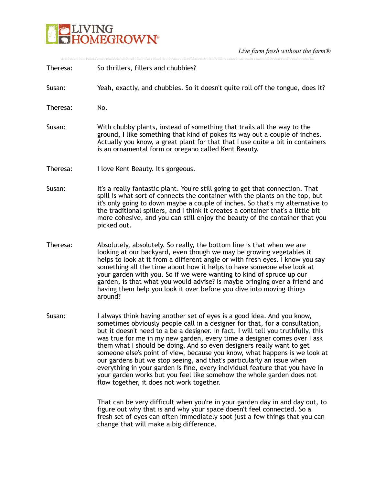# **DELIVING**<br>**CHOMEGROWN®**

*Live farm fresh without the farm®* 

| Theresa: | So thrillers, fillers and chubbies?                                                                                                                                                                                                                                                                                                                                                                                                                                                                                                                                                                                                                                                                                                                           |
|----------|---------------------------------------------------------------------------------------------------------------------------------------------------------------------------------------------------------------------------------------------------------------------------------------------------------------------------------------------------------------------------------------------------------------------------------------------------------------------------------------------------------------------------------------------------------------------------------------------------------------------------------------------------------------------------------------------------------------------------------------------------------------|
| Susan:   | Yeah, exactly, and chubbies. So it doesn't quite roll off the tongue, does it?                                                                                                                                                                                                                                                                                                                                                                                                                                                                                                                                                                                                                                                                                |
| Theresa: | No.                                                                                                                                                                                                                                                                                                                                                                                                                                                                                                                                                                                                                                                                                                                                                           |
| Susan:   | With chubby plants, instead of something that trails all the way to the<br>ground, I like something that kind of pokes its way out a couple of inches.<br>Actually you know, a great plant for that that I use quite a bit in containers<br>is an ornamental form or oregano called Kent Beauty.                                                                                                                                                                                                                                                                                                                                                                                                                                                              |
| Theresa: | I love Kent Beauty. It's gorgeous.                                                                                                                                                                                                                                                                                                                                                                                                                                                                                                                                                                                                                                                                                                                            |
| Susan:   | It's a really fantastic plant. You're still going to get that connection. That<br>spill is what sort of connects the container with the plants on the top, but<br>it's only going to down maybe a couple of inches. So that's my alternative to<br>the traditional spillers, and I think it creates a container that's a little bit<br>more cohesive, and you can still enjoy the beauty of the container that you<br>picked out.                                                                                                                                                                                                                                                                                                                             |
| Theresa: | Absolutely, absolutely. So really, the bottom line is that when we are<br>looking at our backyard, even though we may be growing vegetables it<br>helps to look at it from a different angle or with fresh eyes. I know you say<br>something all the time about how it helps to have someone else look at<br>your garden with you. So if we were wanting to kind of spruce up our<br>garden, is that what you would advise? Is maybe bringing over a friend and<br>having them help you look it over before you dive into moving things<br>around?                                                                                                                                                                                                            |
| Susan:   | I always think having another set of eyes is a good idea. And you know,<br>sometimes obviously people call in a designer for that, for a consultation,<br>but it doesn't need to a be a designer. In fact, I will tell you truthfully, this<br>was true for me in my new garden, every time a designer comes over I ask<br>them what I should be doing. And so even designers really want to get<br>someone else's point of view, because you know, what happens is we look at<br>our gardens but we stop seeing, and that's particularly an issue when<br>everything in your garden is fine, every individual feature that you have in<br>your garden works but you feel like somehow the whole garden does not<br>flow together, it does not work together. |
|          | That can be very difficult when you're in your garden day in and day out, to<br>figure out why that is and why your space doesn't feel connected. So a<br>fresh set of eyes can often immediately spot just a few things that you can                                                                                                                                                                                                                                                                                                                                                                                                                                                                                                                         |

change that will make a big difference.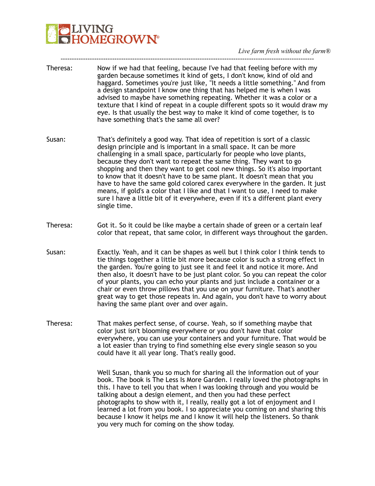*Live farm fresh without the farm®* 

Theresa: Now if we had that feeling, because I've had that feeling before with my garden because sometimes it kind of gets, I don't know, kind of old and haggard. Sometimes you're just like, "It needs a little something." And from a design standpoint I know one thing that has helped me is when I was advised to maybe have something repeating. Whether it was a color or a texture that I kind of repeat in a couple different spots so it would draw my eye. Is that usually the best way to make it kind of come together, is to have something that's the same all over?

-----------------------------------------------------------------------------------------------------------------

- Susan: That's definitely a good way. That idea of repetition is sort of a classic design principle and is important in a small space. It can be more challenging in a small space, particularly for people who love plants, because they don't want to repeat the same thing. They want to go shopping and then they want to get cool new things. So it's also important to know that it doesn't have to be same plant. It doesn't mean that you have to have the same gold colored carex everywhere in the garden. It just means, if gold's a color that I like and that I want to use, I need to make sure I have a little bit of it everywhere, even if it's a different plant every single time.
- Theresa: Got it. So it could be like maybe a certain shade of green or a certain leaf color that repeat, that same color, in different ways throughout the garden.
- Susan: Exactly. Yeah, and it can be shapes as well but I think color I think tends to tie things together a little bit more because color is such a strong effect in the garden. You're going to just see it and feel it and notice it more. And then also, it doesn't have to be just plant color. So you can repeat the color of your plants, you can echo your plants and just include a container or a chair or even throw pillows that you use on your furniture. That's another great way to get those repeats in. And again, you don't have to worry about having the same plant over and over again.
- Theresa: That makes perfect sense, of course. Yeah, so if something maybe that color just isn't blooming everywhere or you don't have that color everywhere, you can use your containers and your furniture. That would be a lot easier than trying to find something else every single season so you could have it all year long. That's really good.

Well Susan, thank you so much for sharing all the information out of your book. The book is The Less Is More Garden. I really loved the photographs in this. I have to tell you that when I was looking through and you would be talking about a design element, and then you had these perfect photographs to show with it, I really, really got a lot of enjoyment and I learned a lot from you book. I so appreciate you coming on and sharing this because I know it helps me and I know it will help the listeners. So thank you very much for coming on the show today.